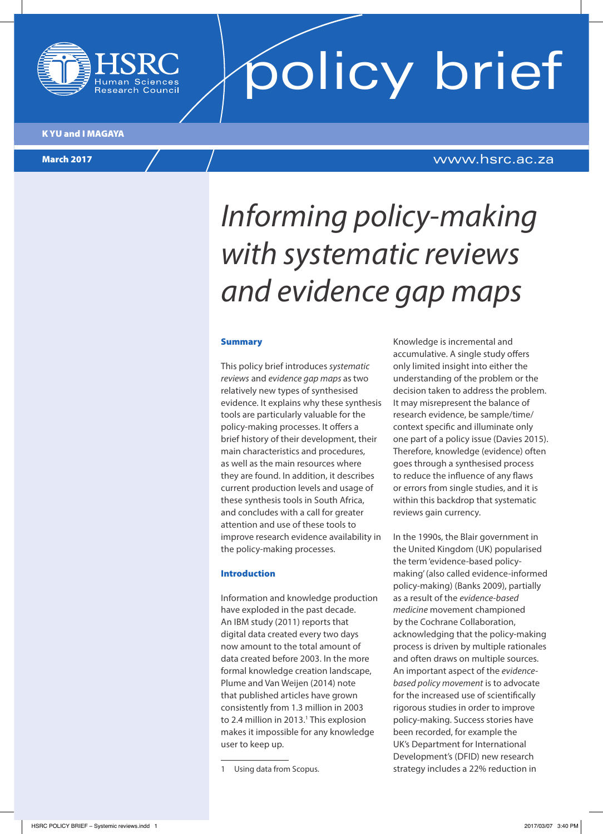

**policy brief** 

K YU and I MAGAYA

March 2017

### www.hsrc.ac.za

# *Informing policy-making with systematic reviews and evidence gap maps*

#### Summary

This policy brief introduces *systematic reviews* and *evidence gap maps* astwo relatively new types of synthesised evidence. It explains why these synthesis tools are particularly valuable for the policy-making processes. It offers a brief history of their development, their main characteristics and procedures, as well as the main resources where they are found. In addition, it describes current production levels and usage of these synthesis tools in South Africa, and concludes with a call for greater attention and use of these tools to improve research evidence availability in the policy-making processes.

#### Introduction

Information and knowledge production have exploded in the past decade. An IBM study (2011) reports that digital data created every two days now amount to the total amount of data created before 2003. In the more formal knowledge creation landscape, Plume and Van Weijen (2014) note that published articles have grown consistently from 1.3 million in 2003 to 2.4 million in 2013.<sup>1</sup> This explosion makes it impossible for any knowledge user to keep up.

Knowledge is incremental and accumulative. A single study offers only limited insight into either the understanding of the problem or the decision taken to address the problem. It may misrepresent the balance of research evidence, be sample/time/ context specific and illuminate only one part of a policy issue (Davies 2015). Therefore, knowledge (evidence) often goes through a synthesised process to reduce the influence of any flaws or errors from single studies, and it is within this backdrop that systematic reviews gain currency.

In the 1990s, the Blair government in the United Kingdom (UK) popularised the term 'evidence-based policymaking' (also called evidence-informed policy-making) (Banks 2009), partially as a result of the *evidence-based medicine* movement championed by the Cochrane Collaboration, acknowledging that the policy-making process is driven by multiple rationales and often draws on multiple sources. An important aspect of the *evidencebased policy movement* is to advocate for the increased use of scientifically rigorous studies in order to improve policy-making. Success stories have been recorded, for example the UK's Department for International Development's (DFID) new research strategy includes a 22% reduction in

<sup>1</sup> Using data from Scopus.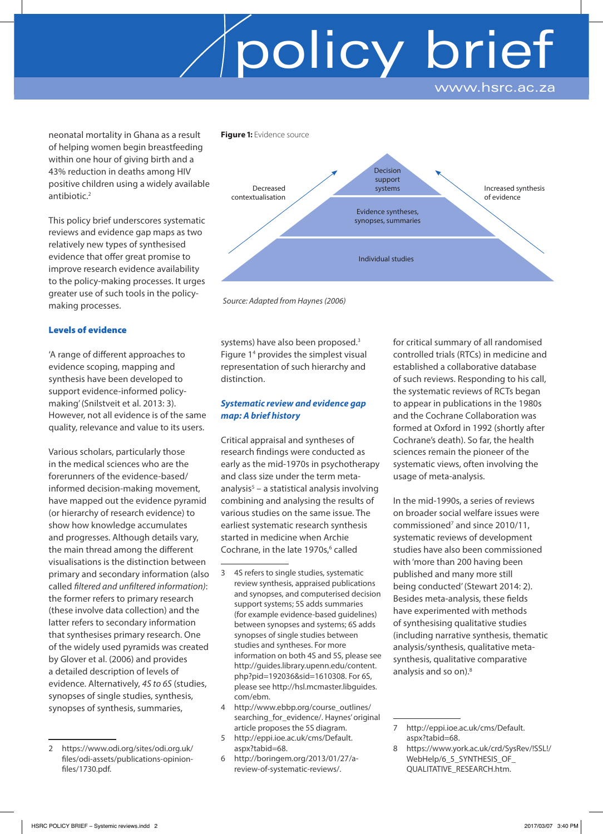# policy brief www.hsrc.ac.za

neonatal mortality in Ghana as a result of helping women begin breastfeeding within one hour of giving birth and a 43% reduction in deaths among HIV positive children using a widely available antibiotic.<sup>2</sup>

This policy brief underscores systematic reviews and evidence gap maps as two relatively new types of synthesised evidence that offer great promise to improve research evidence availability to the policy-making processes. It urges greater use of such tools in the policymaking processes.

### Levels of evidence

'A range of different approaches to evidence scoping, mapping and synthesis have been developed to support evidence-informed policymaking' (Snilstveit et al. 2013: 3). However, not all evidence is of the same quality, relevance and value to its users.

Various scholars, particularly those in the medical sciences who are the forerunners of the evidence-based/ informed decision-making movement, have mapped out the evidence pyramid (or hierarchy of research evidence) to show how knowledge accumulates and progresses. Although details vary, the main thread among the different visualisations is the distinction between primary and secondary information (also called *filtered and unfiltered information)*: the former refers to primary research (these involve data collection) and the latter refers to secondary information that synthesises primary research. One of the widely used pyramids was created by Glover et al. (2006) and provides a detailed description of levels of evidence. Alternatively, *4S to 6S* (studies, synopses of single studies, synthesis, synopses of synthesis, summaries,



*Source: Adapted from Haynes (2006)*

systems) have also been proposed.<sup>3</sup> Figure 14 provides the simplest visual representation of such hierarchy and distinction.

### *Systematic review and evidence gap map: A brief history*

Critical appraisal and syntheses of research findings were conducted as early as the mid-1970s in psychotherapy and class size under the term metaanalysis<sup>5</sup> – a statistical analysis involving combining and analysing the results of various studies on the same issue. The earliest systematic research synthesis started in medicine when Archie Cochrane, in the late 1970s,<sup>6</sup> called

- 3 4S refers to single studies, systematic review synthesis, appraised publications and synopses, and computerised decision support systems; 5S adds summaries (for example evidence-based guidelines) between synopses and systems; 6S adds synopses of single studies between studies and syntheses. For more information on both 4S and 5S, please see http://guides.library.upenn.edu/content. php?pid=192036&sid=1610308. For 6S, please see http://hsl.mcmaster.libguides. com/ebm.
- 4 http://www.ebbp.org/course\_outlines/ searching\_for\_evidence/. Haynes' original article proposes the 5S diagram.
- 5 http://eppi.ioe.ac.uk/cms/Default. aspx?tabid=68.
- 6 http://boringem.org/2013/01/27/areview-of-systematic-reviews/.

for critical summary of all randomised controlled trials (RTCs) in medicine and established a collaborative database of such reviews. Responding to his call, the systematic reviews of RCTs began to appear in publications in the 1980s and the Cochrane Collaboration was formed at Oxford in 1992 (shortly after Cochrane's death). So far, the health sciences remain the pioneer of the systematic views, often involving the usage of meta-analysis.

In the mid-1990s, a series of reviews on broader social welfare issues were commissioned<sup>7</sup> and since 2010/11, systematic reviews of development studies have also been commissioned with 'more than 200 having been published and many more still being conducted' (Stewart 2014: 2). Besides meta-analysis, these fields have experimented with methods of synthesising qualitative studies (including narrative synthesis, thematic analysis/synthesis, qualitative metasynthesis, qualitative comparative analysis and so on).<sup>8</sup>

8 https://www.york.ac.uk/crd/SysRev/!SSL!/ WebHelp/6\_5\_SYNTHESIS\_OF QUALITATIVE\_RESEARCH.htm.

<sup>2</sup> https://www.odi.org/sites/odi.org.uk/ files/odi-assets/publications-opinionfiles/1730.pdf.

<sup>7</sup> http://eppi.ioe.ac.uk/cms/Default. aspx?tabid=68.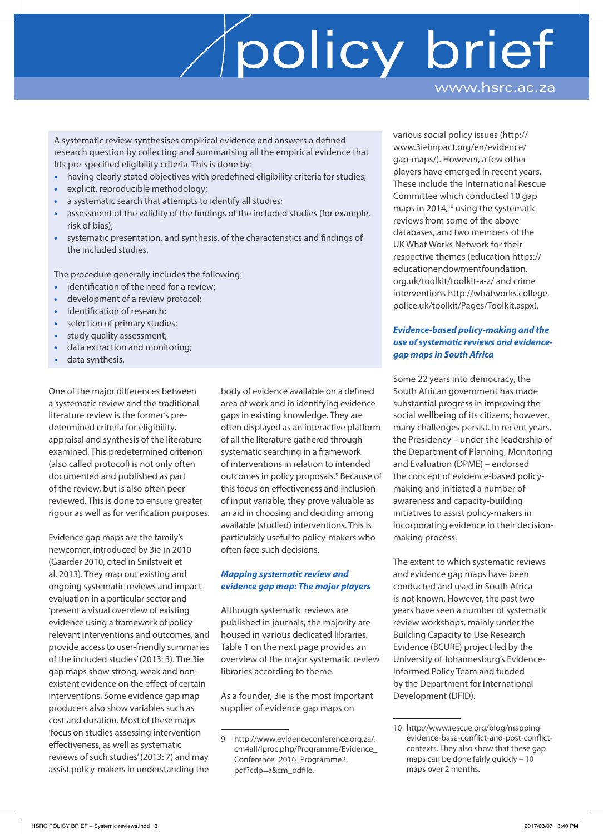# policy brief www.hsrc.ac.za

A systematic review synthesises empirical evidence and answers a defined research question by collecting and summarising all the empirical evidence that fits pre-specified eligibility criteria. This is done by:

- having clearly stated objectives with predefined eligibility criteria for studies;
- explicit, reproducible methodology;
- a systematic search that attempts to identify all studies;
- assessment of the validity of the findings of the included studies (for example, risk of bias);
- systematic presentation, and synthesis, of the characteristics and findings of the included studies.

The procedure generally includes the following:

- identification of the need for a review;
- development of a review protocol;
- identification of research;
- selection of primary studies;
- study quality assessment;
- data extraction and monitoring;
- data synthesis.

One of the major differences between a systematic review and the traditional literature review is the former's predetermined criteria for eligibility, appraisal and synthesis of the literature examined. This predetermined criterion (also called protocol) is not only often documented and published as part of the review, but is also often peer reviewed. This is done to ensure greater rigour as well as for verification purposes.

Evidence gap maps are the family's newcomer, introduced by 3ie in 2010 (Gaarder 2010, cited in Snilstveit et al. 2013). They map out existing and ongoing systematic reviews and impact evaluation in a particular sector and 'present a visual overview of existing evidence using a framework of policy relevant interventions and outcomes, and provide access to user-friendly summaries of the included studies' (2013: 3). The 3ie gap maps show strong, weak and nonexistent evidence on the effect of certain interventions. Some evidence gap map producers also show variables such as cost and duration. Most of these maps 'focus on studies assessing intervention effectiveness, as well as systematic reviews of such studies' (2013: 7) and may assist policy-makers in understanding the

body of evidence available on a defined area of work and in identifying evidence gaps in existing knowledge. They are often displayed as an interactive platform of all the literature gathered through systematic searching in a framework of interventions in relation to intended outcomes in policy proposals.<sup>9</sup> Because of this focus on effectiveness and inclusion of input variable, they prove valuable as an aid in choosing and deciding among available (studied) interventions. This is particularly useful to policy-makers who often face such decisions.

## *Mapping systematic review and evidence gap map: The major players*

Although systematic reviews are published in journals, the majority are housed in various dedicated libraries. Table 1 on the next page provides an overview of the major systematic review libraries according to theme.

As a founder, 3ie is the most important supplier of evidence gap maps on

various social policy issues (http:// www.3ieimpact.org/en/evidence/ gap-maps/). However, a few other players have emerged in recent years. These include the International Rescue Committee which conducted 10 gap maps in 2014, $10$  using the systematic reviews from some of the above databases, and two members of the UK What Works Network for their respective themes (education https:// educationendowmentfoundation. org.uk/toolkit/toolkit-a-z/ and crime interventions http://whatworks.college. police.uk/toolkit/Pages/Toolkit.aspx).

### *Evidence-based policy-making and the use of systematic reviews and evidencegap maps in South Africa*

Some 22 years into democracy, the South African government has made substantial progress in improving the social wellbeing of its citizens; however, many challenges persist. In recent years, the Presidency – under the leadership of the Department of Planning, Monitoring and Evaluation (DPME) – endorsed the concept of evidence-based policymaking and initiated a number of awareness and capacity-building initiatives to assist policy-makers in incorporating evidence in their decisionmaking process.

The extent to which systematic reviews and evidence gap maps have been conducted and used in South Africa is not known. However, the past two years have seen a number of systematic review workshops, mainly under the Building Capacity to Use Research Evidence (BCURE) project led by the University of Johannesburg's Evidence-Informed Policy Team and funded by the Department for International Development (DFID).

<sup>9</sup> http://www.evidenceconference.org.za/. cm4all/iproc.php/Programme/Evidence\_ Conference\_2016\_Programme2. pdf?cdp=a&cm\_odfile.

<sup>10</sup> http://www.rescue.org/blog/mappingevidence-base-conflict-and-post-conflictcontexts. They also show that these gap maps can be done fairly quickly – 10 maps over 2 months.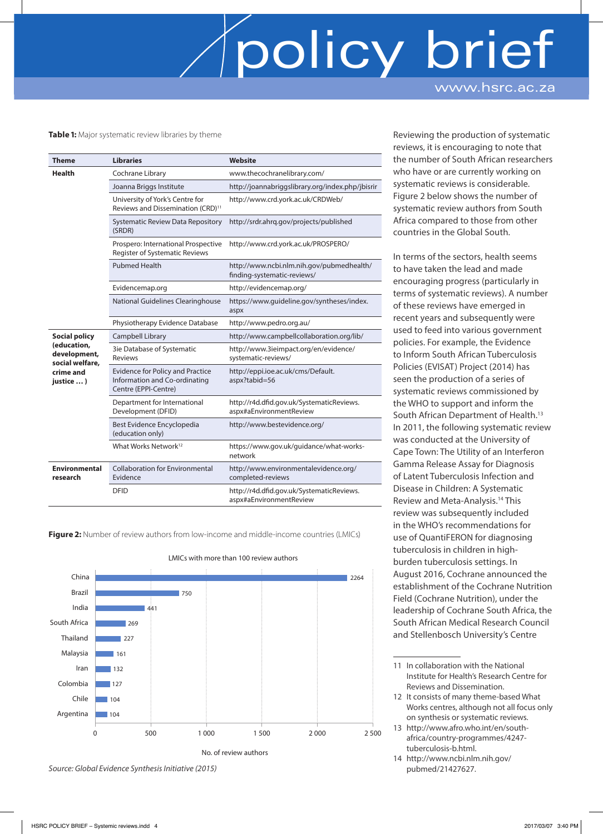# policy brie www.hsrc.ac.za

#### **Table 1:** Major systematic review libraries by theme

| Theme                                                                                            | <b>Libraries</b>                                                                                 | <b>Website</b>                                                           |
|--------------------------------------------------------------------------------------------------|--------------------------------------------------------------------------------------------------|--------------------------------------------------------------------------|
| <b>Health</b>                                                                                    | Cochrane Library                                                                                 | www.thecochranelibrary.com/                                              |
|                                                                                                  | Joanna Briggs Institute                                                                          | http://joannabriggslibrary.org/index.php/jbisrir                         |
|                                                                                                  | University of York's Centre for<br>Reviews and Dissemination (CRD) <sup>11</sup>                 | http://www.crd.york.ac.uk/CRDWeb/                                        |
|                                                                                                  | <b>Systematic Review Data Repository</b><br>(SRDR)                                               | http://srdr.ahrq.gov/projects/published                                  |
|                                                                                                  | Prospero: International Prospective<br><b>Register of Systematic Reviews</b>                     | http://www.crd.york.ac.uk/PROSPERO/                                      |
|                                                                                                  | <b>Pubmed Health</b>                                                                             | http://www.ncbi.nlm.nih.gov/pubmedhealth/<br>finding-systematic-reviews/ |
|                                                                                                  | Evidencemap.org                                                                                  | http://evidencemap.org/                                                  |
|                                                                                                  | National Guidelines Clearinghouse                                                                | https://www.quideline.gov/syntheses/index.<br>aspx                       |
|                                                                                                  | Physiotherapy Evidence Database                                                                  | http://www.pedro.org.au/                                                 |
| <b>Social policy</b><br>(education,<br>development,<br>social welfare,<br>crime and<br>justice ) | Campbell Library                                                                                 | http://www.campbellcollaboration.org/lib/                                |
|                                                                                                  | 3ie Database of Systematic<br><b>Reviews</b>                                                     | http://www.3ieimpact.org/en/evidence/<br>systematic-reviews/             |
|                                                                                                  | <b>Evidence for Policy and Practice</b><br>Information and Co-ordinating<br>Centre (EPPI-Centre) | http://eppi.ioe.ac.uk/cms/Default.<br>aspx?tabid=56                      |
|                                                                                                  | Department for International<br>Development (DFID)                                               | http://r4d.dfid.gov.uk/SystematicReviews.<br>aspx#aEnvironmentReview     |
|                                                                                                  | Best Evidence Encyclopedia<br>(education only)                                                   | http://www.bestevidence.org/                                             |
|                                                                                                  | What Works Network <sup>12</sup>                                                                 | https://www.gov.uk/guidance/what-works-<br>network                       |
| <b>Environmental</b><br>research                                                                 | <b>Collaboration for Environmental</b><br>Evidence                                               | http://www.environmentalevidence.org/<br>completed-reviews               |
|                                                                                                  | <b>DFID</b>                                                                                      | http://r4d.dfid.gov.uk/SystematicReviews.<br>aspx#aEnvironmentReview     |

**Figure 2:** Number of review authors from low-income and middle-income countries (LMICs)



LMICs with more than 100 review authors

Reviewing the production of systematic reviews, it is encouraging to note that the number of South African researchers who have or are currently working on systematic reviews is considerable. Figure 2 below shows the number of systematic review authors from South Africa compared to those from other countries in the Global South.

In terms of the sectors, health seems to have taken the lead and made encouraging progress (particularly in terms of systematic reviews). A number of these reviews have emerged in recent years and subsequently were used to feed into various government policies. For example, the Evidence to Inform South African Tuberculosis Policies (EVISAT) Project (2014) has seen the production of a series of systematic reviews commissioned by the WHO to support and inform the South African Department of Health.13 In 2011, the following systematic review was conducted at the University of Cape Town: The Utility of an Interferon Gamma Release Assay for Diagnosis of Latent Tuberculosis Infection and Disease in Children: A Systematic Review and Meta-Analysis.14 This review was subsequently included in the WHO's recommendations for use of QuantiFERON for diagnosing tuberculosis in children in highburden tuberculosis settings. In August 2016, Cochrane announced the establishment of the Cochrane Nutrition Field (Cochrane Nutrition), under the leadership of Cochrane South Africa, the South African Medical Research Council and Stellenbosch University's Centre

- 12 It consists of many theme-based What Works centres, although not all focus only on synthesis or systematic reviews.
- 13 http://www.afro.who.int/en/southafrica/country-programmes/4247 tuberculosis-b.html.
- 14 http://www.ncbi.nlm.nih.gov/ pubmed/21427627.

*Source: Global Evidence Synthesis Initiative (2015)*

<sup>11</sup> In collaboration with the National Institute for Health's Research Centre for Reviews and Dissemination.